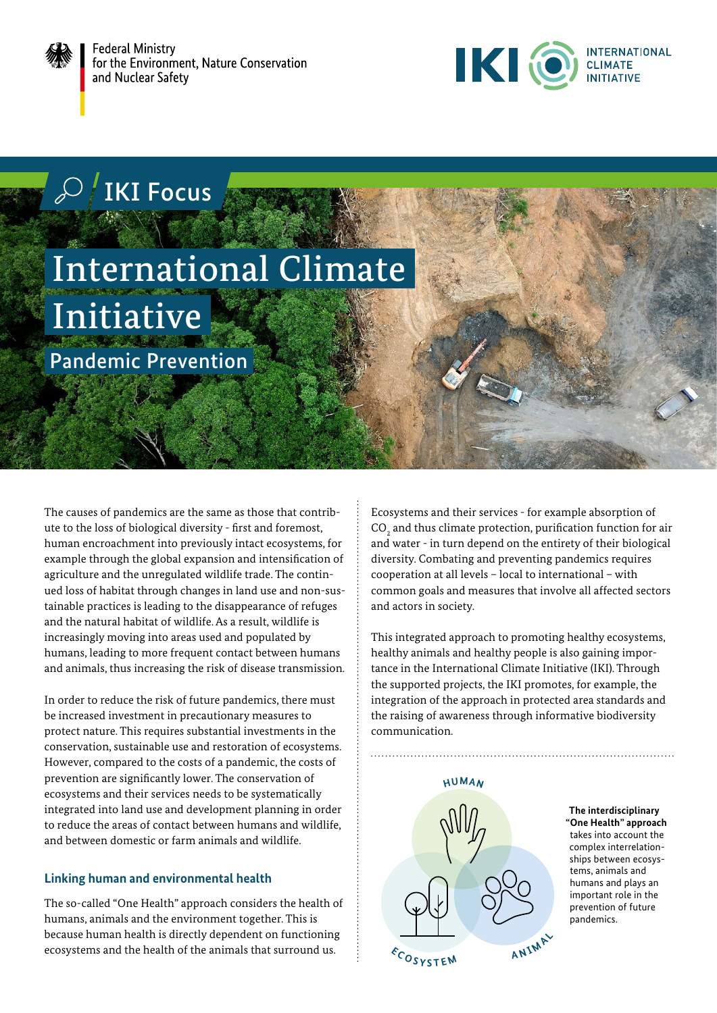

**Federal Ministry** for the Environment, Nature Conservation and Nuclear Safety



IKI Focus

# International Climate **Initiative**

Pandemic Prevention

The causes of pandemics are the same as those that contribute to the loss of biological diversity - first and foremost, human encroachment into previously intact ecosystems, for example through the global expansion and intensification of agriculture and the unregulated wildlife trade. The continued loss of habitat through changes in land use and non-sustainable practices is leading to the disappearance of refuges and the natural habitat of wildlife. As a result, wildlife is increasingly moving into areas used and populated by humans, leading to more frequent contact between humans and animals, thus increasing the risk of disease transmission.

In order to reduce the risk of future pandemics, there must be increased investment in precautionary measures to protect nature. This requires substantial investments in the conservation, sustainable use and restoration of ecosystems. However, compared to the costs of a pandemic, the costs of prevention are significantly lower. The conservation of ecosystems and their services needs to be systematically integrated into land use and development planning in order to reduce the areas of contact between humans and wildlife, and between domestic or farm animals and wildlife.

## **Linking human and environmental health**

The so-called "One Health" approach considers the health of humans, animals and the environment together. This is because human health is directly dependent on functioning ecosystems and the health of the animals that surround us.

Ecosystems and their services - for example absorption of  $\mathrm{CO}_\mathrm{2}$  and thus climate protection, purification function for air and water - in turn depend on the entirety of their biological diversity. Combating and preventing pandemics requires cooperation at all levels – local to international – with common goals and measures that involve all affected sectors and actors in society.

This integrated approach to promoting healthy ecosystems, healthy animals and healthy people is also gaining importance in the International Climate Initiative (IKI). Through the supported projects, the IKI promotes, for example, the integration of the approach in protected area standards and the raising of awareness through informative biodiversity communication.



**The interdisciplinary "One Health" approach**  takes into account the complex interrelationships between ecosystems, animals and humans and plays an important role in the prevention of future pandemics.